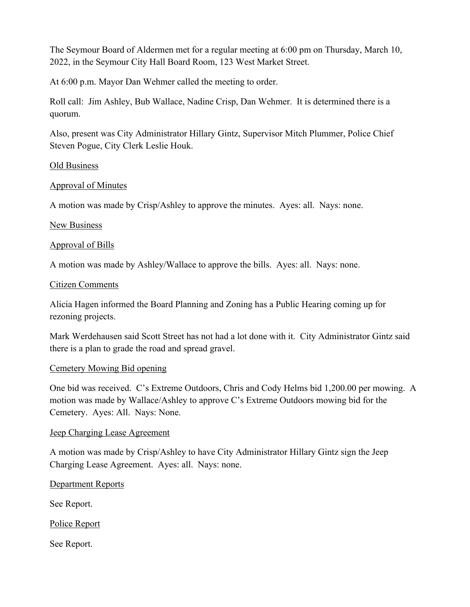The Seymour Board of Aldermen met for a regular meeting at 6:00 pm on Thursday, March 10, 2022, in the Seymour City Hall Board Room, 123 West Market Street.

At 6:00 p.m. Mayor Dan Wehmer called the meeting to order.

Roll call: Jim Ashley, Bub Wallace, Nadine Crisp, Dan Wehmer. It is determined there is a quorum.

Also, present was City Administrator Hillary Gintz, Supervisor Mitch Plummer, Police Chief Steven Pogue, City Clerk Leslie Houk.

#### **Old Business**

### Approval of Minutes

A motion was made by Crisp/Ashley to approve the minutes. Ayes: all. Nays: none.

#### New Business

### Approval of Bills

A motion was made by Ashley/Wallace to approve the bills. Ayes: all. Nays: none.

#### Citizen Comments

Alicia Hagen informed the Board Planning and Zoning has a Public Hearing coming up for rezoning projects.

Mark Werdehausen said Scott Street has not had a lot done with it. City Administrator Gintz said there is a plan to grade the road and spread gravel.

#### Cemetery Mowing Bid opening

One bid was received. C's Extreme Outdoors, Chris and Cody Helms bid 1,200.00 per mowing. A motion was made by Wallace/Ashley to approve C's Extreme Outdoors mowing bid for the Cemetery. Ayes: All. Nays: None.

#### Jeep Charging Lease Agreement

A motion was made by Crisp/Ashley to have City Administrator Hillary Gintz sign the Jeep Charging Lease Agreement. Ayes: all. Nays: none.

#### Department Reports

See Report.

Police Report

See Report.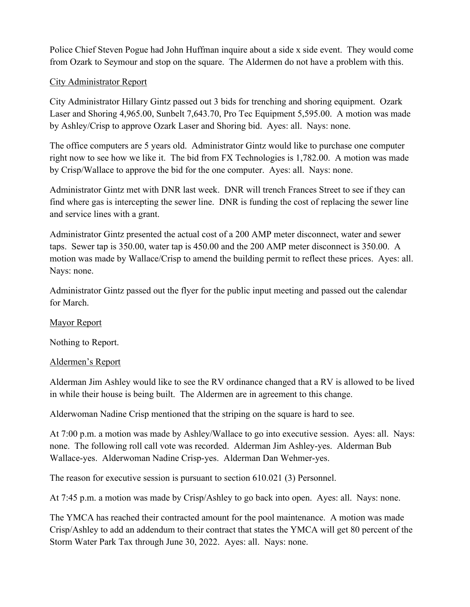Police Chief Steven Pogue had John Huffman inquire about a side x side event. They would come from Ozark to Seymour and stop on the square. The Aldermen do not have a problem with this.

# City Administrator Report

City Administrator Hillary Gintz passed out 3 bids for trenching and shoring equipment. Ozark Laser and Shoring 4,965.00, Sunbelt 7,643.70, Pro Tec Equipment 5,595.00. A motion was made by Ashley/Crisp to approve Ozark Laser and Shoring bid. Ayes: all. Nays: none.

The office computers are 5 years old. Administrator Gintz would like to purchase one computer right now to see how we like it. The bid from FX Technologies is 1,782.00. A motion was made by Crisp/Wallace to approve the bid for the one computer. Ayes: all. Nays: none.

Administrator Gintz met with DNR last week. DNR will trench Frances Street to see if they can find where gas is intercepting the sewer line. DNR is funding the cost of replacing the sewer line and service lines with a grant.

Administrator Gintz presented the actual cost of a 200 AMP meter disconnect, water and sewer taps. Sewer tap is 350.00, water tap is 450.00 and the 200 AMP meter disconnect is 350.00. A motion was made by Wallace/Crisp to amend the building permit to reflect these prices. Ayes: all. Nays: none.

Administrator Gintz passed out the flyer for the public input meeting and passed out the calendar for March.

## Mayor Report

Nothing to Report.

## Aldermen's Report

Alderman Jim Ashley would like to see the RV ordinance changed that a RV is allowed to be lived in while their house is being built. The Aldermen are in agreement to this change.

Alderwoman Nadine Crisp mentioned that the striping on the square is hard to see.

At 7:00 p.m. a motion was made by Ashley/Wallace to go into executive session. Ayes: all. Nays: none. The following roll call vote was recorded. Alderman Jim Ashley-yes. Alderman Bub Wallace-yes. Alderwoman Nadine Crisp-yes. Alderman Dan Wehmer-yes.

The reason for executive session is pursuant to section 610.021 (3) Personnel.

At 7:45 p.m. a motion was made by Crisp/Ashley to go back into open. Ayes: all. Nays: none.

The YMCA has reached their contracted amount for the pool maintenance. A motion was made Crisp/Ashley to add an addendum to their contract that states the YMCA will get 80 percent of the Storm Water Park Tax through June 30, 2022. Ayes: all. Nays: none.